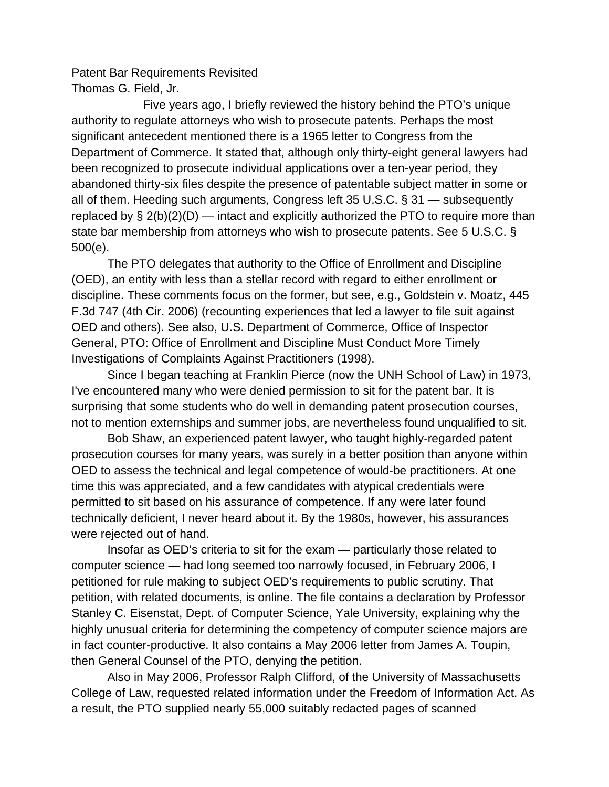Patent Bar Requirements Revisited Thomas G. Field, Jr.

 Five years ago, I briefly reviewed the history behind the PTO's unique authority to regulate attorneys who wish to prosecute patents. Perhaps the most significant antecedent mentioned there is a 1965 letter to Congress from the Department of Commerce. It stated that, although only thirty-eight general lawyers had been recognized to prosecute individual applications over a ten-year period, they abandoned thirty-six files despite the presence of patentable subject matter in some or all of them. Heeding such arguments, Congress left 35 U.S.C. § 31 — subsequently replaced by  $\S 2(b)(2)(D)$  — intact and explicitly authorized the PTO to require more than state bar membership from attorneys who wish to prosecute patents. See 5 U.S.C. § 500(e).

 The PTO delegates that authority to the Office of Enrollment and Discipline (OED), an entity with less than a stellar record with regard to either enrollment or discipline. These comments focus on the former, but see, e.g., Goldstein v. Moatz, 445 F.3d 747 (4th Cir. 2006) (recounting experiences that led a lawyer to file suit against OED and others). See also, U.S. Department of Commerce, Office of Inspector General, PTO: Office of Enrollment and Discipline Must Conduct More Timely Investigations of Complaints Against Practitioners (1998).

 Since I began teaching at Franklin Pierce (now the UNH School of Law) in 1973, I've encountered many who were denied permission to sit for the patent bar. It is surprising that some students who do well in demanding patent prosecution courses, not to mention externships and summer jobs, are nevertheless found unqualified to sit.

 Bob Shaw, an experienced patent lawyer, who taught highly-regarded patent prosecution courses for many years, was surely in a better position than anyone within OED to assess the technical and legal competence of would-be practitioners. At one time this was appreciated, and a few candidates with atypical credentials were permitted to sit based on his assurance of competence. If any were later found technically deficient, I never heard about it. By the 1980s, however, his assurances were rejected out of hand.

 Insofar as OED's criteria to sit for the exam — particularly those related to computer science — had long seemed too narrowly focused, in February 2006, I petitioned for rule making to subject OED's requirements to public scrutiny. That petition, with related documents, is online. The file contains a declaration by Professor Stanley C. Eisenstat, Dept. of Computer Science, Yale University, explaining why the highly unusual criteria for determining the competency of computer science majors are in fact counter-productive. It also contains a May 2006 letter from James A. Toupin, then General Counsel of the PTO, denying the petition.

 Also in May 2006, Professor Ralph Clifford, of the University of Massachusetts College of Law, requested related information under the Freedom of Information Act. As a result, the PTO supplied nearly 55,000 suitably redacted pages of scanned